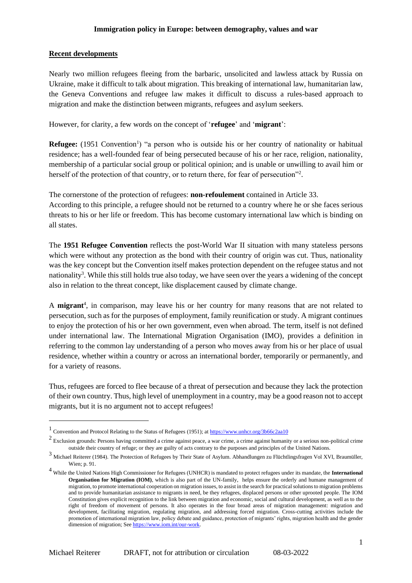#### **Recent developments**

Nearly two million refugees fleeing from the barbaric, unsolicited and lawless attack by Russia on Ukraine, make it difficult to talk about migration. This breaking of international law, humanitarian law, the Geneva Conventions and refugee law makes it difficult to discuss a rules-based approach to migration and make the distinction between migrants, refugees and asylum seekers.

However, for clarity, a few words on the concept of '**refugee**' and '**migrant**':

**Refugee:** (1951 Convention<sup>1</sup>) "a person who is outside his or her country of nationality or habitual residence; has a well-founded fear of being persecuted because of his or her race, religion, nationality, membership of a particular social group or political opinion; and is unable or unwilling to avail him or herself of the protection of that country, or to return there, for fear of persecution"<sup>2</sup>.

The cornerstone of the protection of refugees: **non-refoulement** contained in Article 33. According to this principle, a refugee should not be returned to a country where he or she faces serious threats to his or her life or freedom. This has become customary international law which is binding on all states.

The **1951 Refugee Convention** reflects the post-World War II situation with many stateless persons which were without any protection as the bond with their country of origin was cut. Thus, nationality was the key concept but the Convention itself makes protection dependent on the refugee status and not nationality<sup>3</sup>. While this still holds true also today, we have seen over the years a widening of the concept also in relation to the threat concept, like displacement caused by climate change.

A **migrant**<sup>4</sup>, in comparison, may leave his or her country for many reasons that are not related to persecution, such as for the purposes of employment, family reunification or study. A migrant continues to enjoy the protection of his or her own government, even when abroad. The term, itself is not defined under international law. The International Migration Organisation (IMO), provides a definition in referring to the common lay understanding of a person who moves away from his or her place of usual residence, whether within a country or across an international border, temporarily or permanently, and for a variety of reasons.

Thus, refugees are forced to flee because of a threat of persecution and because they lack the protection of their own country. Thus, high level of unemployment in a country, may be a good reason not to accept migrants, but it is no argument not to accept refugees!

<sup>&</sup>lt;sup>1</sup> Convention and Protocol Relating to the Status of Refugees (1951); a[t https://www.unhcr.org/3b66c2aa10](https://www.unhcr.org/3b66c2aa10)

 $2$  Exclusion grounds: Persons having committed a crime against peace, a war crime, a crime against humanity or a serious non-political crime outside their country of refuge; or they are guilty of acts contrary to the purposes and principles of the United Nations.

<sup>3</sup> Michael Reiterer (1984). The Protection of Refugees by Their State of Asylum. Abhandlungen zu Flüchtlingsfragen Vol XVI, Braumüller, Wien; p. 91.

<sup>4</sup> While the United Nations High Commissioner for Refugees (UNHCR) is mandated to protect refugees under its mandate, the **International Organisation for Migration (IOM)**, which is also part of the UN-family, helps ensure the orderly and humane management of migration, to promote international cooperation on migration issues, to assist in the search for practical solutions to migration problems and to provide humanitarian assistance to migrants in need, be they refugees, displaced persons or other uprooted people. The IOM Constitution gives explicit recognition to the link between migration and economic, social and cultural development, as well as to the right of freedom of movement of persons. It also operates in the four broad areas of migration management: migration and development, facilitating migration, regulating migration, and addressing forced migration. Cross-cutting activities include the promotion of international migration law, policy debate and guidance, protection of migrants' rights, migration health and the gender dimension of migration; Se[e https://www.iom.int/our-work.](https://www.iom.int/our-work)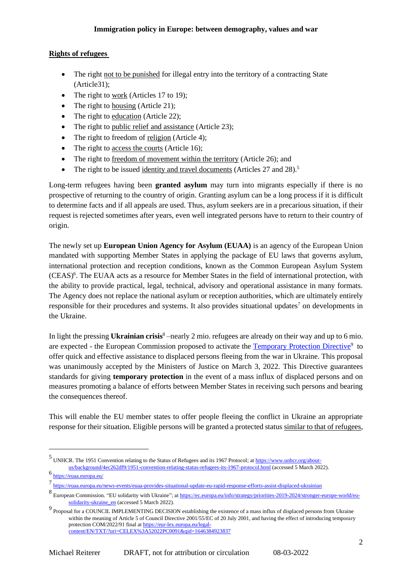## **Rights of refugees**

- The right not to be punished for illegal entry into the territory of a contracting State (Article31);
- The right to work (Articles 17 to 19);
- The right to housing (Article 21);
- The right to education (Article 22);
- The right to public relief and assistance (Article 23);
- The right to freedom of religion (Article 4);
- The right to access the courts (Article 16);
- The right to freedom of movement within the territory (Article 26); and
- The right to be issued identity and travel documents (Articles 27 and 28).<sup>5</sup>

Long-term refugees having been **granted asylum** may turn into migrants especially if there is no prospective of returning to the country of origin. Granting asylum can be a long process if it is difficult to determine facts and if all appeals are used. Thus, asylum seekers are in a precarious situation, if their request is rejected sometimes after years, even well integrated persons have to return to their country of origin.

The newly set up **European Union Agency for Asylum (EUAA)** is an agency of the European Union mandated with supporting Member States in applying the package of EU laws that governs asylum, international protection and reception conditions, known as the Common European Asylum System (CEAS)<sup>6</sup>. The EUAA acts as a resource for Member States in the field of international protection, with the ability to provide practical, legal, technical, advisory and operational assistance in many formats. The Agency does not replace the national asylum or reception authorities, which are ultimately entirely responsible for their procedures and systems. It also provides situational updates<sup>7</sup> on developments in the Ukraine.

In light the pressing **Ukrainian crisis**<sup>8</sup> –nearly 2 mio. refugees are already on their way and up to 6 mio. are expected - the European Commission proposed to activate the [Temporary Protection Directive](https://ec.europa.eu/home-affairs/proposal-council-implementing-decision-implementing-temporary-protection-directive_en)<sup>9</sup> to offer quick and effective assistance to displaced persons fleeing from the war in Ukraine. This proposal was unanimously accepted by the Ministers of Justice on March 3, 2022. This Directive guarantees standards for giving **temporary protection** in the event of a mass influx of displaced persons and on measures promoting a balance of efforts between Member States in receiving such persons and bearing the consequences thereof.

This will enable the EU member states to offer people fleeing the conflict in Ukraine an appropriate response for their situation. Eligible persons will be granted a protected status similar to that of refugees,

<sup>&</sup>lt;sup>5</sup> UNHCR. The 1951 Convention relating to the Status of Refugees and its 1967 Protocol; a[t https://www.unhcr.org/about](https://www.unhcr.org/about-us/background/4ec262df9/1951-convention-relating-status-refugees-its-1967-protocol.html)[us/background/4ec262df9/1951-convention-relating-status-refugees-its-1967-protocol.html](https://www.unhcr.org/about-us/background/4ec262df9/1951-convention-relating-status-refugees-its-1967-protocol.html) (accessed 5 March 2022).

<sup>6</sup> <https://euaa.europa.eu/>

<sup>7</sup> <https://euaa.europa.eu/news-events/euaa-provides-situational-update-eu-rapid-response-efforts-assist-displaced-ukrainian>

<sup>8&</sup>lt;br>European Commission. "EU solidarity with Ukraine"; a[t https://ec.europa.eu/info/strategy/priorities-2019-2024/stronger-europe-world/eu](https://ec.europa.eu/info/strategy/priorities-2019-2024/stronger-europe-world/eu-solidarity-ukraine_en)[solidarity-ukraine\\_en](https://ec.europa.eu/info/strategy/priorities-2019-2024/stronger-europe-world/eu-solidarity-ukraine_en) (accessed 5 March 2022).

<sup>&</sup>lt;sup>9</sup> Proposal for a COUNCIL IMPLEMENTING DECISION establishing the existence of a mass influx of displaced persons from Ukraine within the meaning of Article 5 of Council Directive 2001/55/EC of 20 July 2001, and having the effect of introducing temporary protection COM/2022/91 final a[t https://eur-lex.europa.eu/legal](https://eur-lex.europa.eu/legal-content/EN/TXT/?uri=CELEX%3A52022PC0091&qid=1646384923837)[content/EN/TXT/?uri=CELEX%3A52022PC0091&qid=1646384923837](https://eur-lex.europa.eu/legal-content/EN/TXT/?uri=CELEX%3A52022PC0091&qid=1646384923837)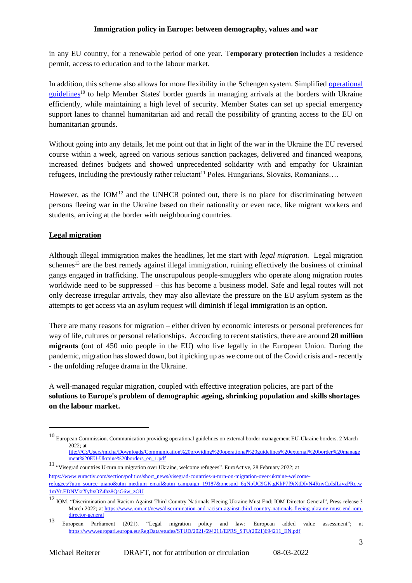in any EU country, for a renewable period of one year. T**emporary protection** includes a residence permit, access to education and to the labour market.

In addition, this scheme also allows for more flexibility in the Schengen system. Simplified [operational](https://ec.europa.eu/home-affairs/communication-providing-operational-guidelines-external-border-management-eu-ukraine-borders_en)  [guidelines](https://ec.europa.eu/home-affairs/communication-providing-operational-guidelines-external-border-management-eu-ukraine-borders_en)<sup>10</sup> to help Member States' border guards in managing arrivals at the borders with Ukraine efficiently, while maintaining a high level of security. Member States can set up special emergency support lanes to channel humanitarian aid and recall the possibility of granting access to the EU on humanitarian grounds.

Without going into any details, let me point out that in light of the war in the Ukraine the EU reversed course within a week, agreed on various serious sanction packages, delivered and financed weapons, increased defines budgets and showed unprecedented solidarity with and empathy for Ukrainian refugees, including the previously rather reluctant<sup>11</sup> Poles, Hungarians, Slovaks, Romanians....

However, as the  $IOM^{12}$  and the UNHCR pointed out, there is no place for discriminating between persons fleeing war in the Ukraine based on their nationality or even race, like migrant workers and students, arriving at the border with neighbouring countries.

# **Legal migration**

Although illegal immigration makes the headlines, let me start with *legal migration.* Legal migration schemes<sup>13</sup> are the best remedy against illegal immigration, ruining effectively the business of criminal gangs engaged in trafficking. The unscrupulous people-smugglers who operate along migration routes worldwide need to be suppressed – this has become a business model. Safe and legal routes will not only decrease irregular arrivals, they may also alleviate the pressure on the EU asylum system as the attempts to get access via an asylum request will diminish if legal immigration is an option.

There are many reasons for migration – either driven by economic interests or personal preferences for way of life, cultures or personal relationships. According to recent statistics, there are around **20 million migrants** (out of 450 mio people in the EU) who live legally in the European Union. During the pandemic, migration has slowed down, but it picking up as we come out of the Covid crisis and - recently - the unfolding refugee drama in the Ukraine.

A well-managed regular migration, coupled with effective integration policies, are part of the **solutions to Europe's problem of demographic ageing, shrinking population and skills shortages on the labour market.**

 $10$  European Commission. Communication providing operational guidelines on external border management EU-Ukraine borders. 2 March 2022; at [file:///C:/Users/micha/Downloads/Communication%20providing%20operational%20guidelines%20external%20border%20manage](file:///C:/Users/micha/Downloads/Communication%20providing%20operational%20guidelines%20external%20border%20management%20EU-Ukraine%20borders_en_1.pdf)

[ment%20EU-Ukraine%20borders\\_en\\_1.pdf](file:///C:/Users/micha/Downloads/Communication%20providing%20operational%20guidelines%20external%20border%20management%20EU-Ukraine%20borders_en_1.pdf)

<sup>11</sup> "Visegrad countries U-turn on migration over Ukraine, welcome refugees". EuroActive, 28 February 2022; at [https://www.euractiv.com/section/politics/short\\_news/visegrad-countries-u-turn-on-migration-over-ukraine-welcome](https://www.euractiv.com/section/politics/short_news/visegrad-countries-u-turn-on-migration-over-ukraine-welcome-refugees/?utm_source=piano&utm_medium=email&utm_campaign=19187&pnespid=6qNpUC9GK.gKhP7f9iXtDIyN4RnyCpIsILiyzPRq.w1mYt.EDNVkrXybxOZ4hz8QsG6w_zOU)[refugees/?utm\\_source=piano&utm\\_medium=email&utm\\_campaign=19187&pnespid=6qNpUC9GK.gKhP7f9iXtDIyN4RnyCpIsILiyzPRq.w](https://www.euractiv.com/section/politics/short_news/visegrad-countries-u-turn-on-migration-over-ukraine-welcome-refugees/?utm_source=piano&utm_medium=email&utm_campaign=19187&pnespid=6qNpUC9GK.gKhP7f9iXtDIyN4RnyCpIsILiyzPRq.w1mYt.EDNVkrXybxOZ4hz8QsG6w_zOU) [1mYt.EDNVkrXybxOZ4hz8QsG6w\\_zOU](https://www.euractiv.com/section/politics/short_news/visegrad-countries-u-turn-on-migration-over-ukraine-welcome-refugees/?utm_source=piano&utm_medium=email&utm_campaign=19187&pnespid=6qNpUC9GK.gKhP7f9iXtDIyN4RnyCpIsILiyzPRq.w1mYt.EDNVkrXybxOZ4hz8QsG6w_zOU)

<sup>&</sup>lt;sup>12</sup> IOM. "Discrimination and Racism Against Third Country Nationals Fleeing Ukraine Must End: IOM Director General", Press release 3 March 2022; at [https://www.iom.int/news/discrimination-and-racism-against-third-country-nationals-fleeing-ukraine-must-end-iom](https://www.iom.int/news/discrimination-and-racism-against-third-country-nationals-fleeing-ukraine-must-end-iom-director-general)[director-general](https://www.iom.int/news/discrimination-and-racism-against-third-country-nationals-fleeing-ukraine-must-end-iom-director-general)

<sup>13</sup> European Parliament (2021). "Legal migration policy and law: European added value assessment"; at [https://www.europarl.europa.eu/RegData/etudes/STUD/2021/694211/EPRS\\_STU\(2021\)694211\\_EN.pdf](https://www.europarl.europa.eu/RegData/etudes/STUD/2021/694211/EPRS_STU(2021)694211_EN.pdf)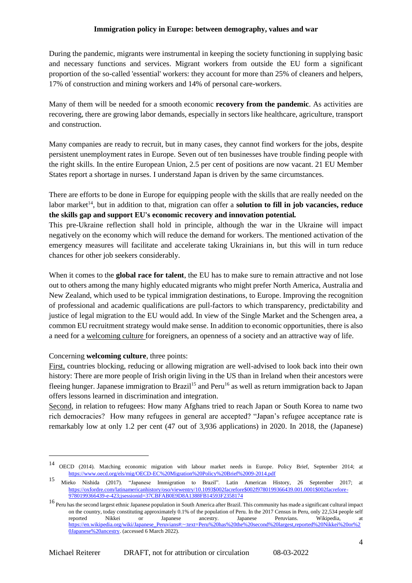During the pandemic, migrants were instrumental in keeping the society functioning in supplying basic and necessary functions and services. Migrant workers from outside the EU form a significant proportion of the so-called 'essential' workers: they account for more than 25% of cleaners and helpers, 17% of construction and mining workers and 14% of personal care-workers.

Many of them will be needed for a smooth economic **recovery from the pandemic**. As activities are recovering, there are growing labor demands, especially in sectors like healthcare, agriculture, transport and construction.

Many companies are ready to recruit, but in many cases, they cannot find workers for the jobs, despite persistent unemployment rates in Europe. Seven out of ten businesses have trouble finding people with the right skills. In the entire European Union, 2.5 per cent of positions are now vacant. 21 EU Member States report a shortage in nurses. I understand Japan is driven by the same circumstances.

There are efforts to be done in Europe for equipping people with the skills that are really needed on the labor market<sup>14</sup>, but in addition to that, migration can offer a **solution to fill in job vacancies, reduce the skills gap and support EU's economic recovery and innovation potential***.*

This pre-Ukraine reflection shall hold in principle, although the war in the Ukraine will impact negatively on the economy which will reduce the demand for workers. The mentioned activation of the emergency measures will facilitate and accelerate taking Ukrainians in, but this will in turn reduce chances for other job seekers considerably.

When it comes to the **global race for talent**, the EU has to make sure to remain attractive and not lose out to others among the many highly educated migrants who might prefer North America, Australia and New Zealand, which used to be typical immigration destinations, to Europe. Improving the recognition of professional and academic qualifications are pull-factors to which transparency, predictability and justice of legal migration to the EU would add. In view of the Single Market and the Schengen area, a common EU recruitment strategy would make sense. In addition to economic opportunities, there is also a need for a welcoming culture for foreigners, an openness of a society and an attractive way of life.

### Concerning **welcoming culture**, three points:

First, countries blocking, reducing or allowing migration are well-advised to look back into their own history: There are more people of Irish origin living in the US than in Ireland when their ancestors were fleeing hunger. Japanese immigration to Brazil<sup>15</sup> and Peru<sup>16</sup> as well as return immigration back to Japan offers lessons learned in discrimination and integration.

Second, in relation to refugees: How many Afghans tried to reach Japan or South Korea to name two rich democracies? How many refugees in general are accepted? "Japan's refugee acceptance rate is remarkably low at only 1.2 per cent (47 out of 3,936 applications) in 2020. In 2018, the (Japanese)

<sup>14</sup> OECD (2014). Matching economic migration with labour market needs in Europe. Policy Brief, September 2014; at <https://www.oecd.org/els/mig/OECD-EC%20Migration%20Policy%20Brief%2009-2014.pdf>

<sup>15</sup> Mieko Nishida (2017). "Japanese Immigration to Brazil". Latin American History, 26 September 2017; at [https://oxfordre.com/latinamericanhistory/oso/viewentry/10.1093\\$002facrefore\\$002f9780199366439.001.0001\\$002facrefore-](https://oxfordre.com/latinamericanhistory/oso/viewentry/10.1093$002facrefore$002f9780199366439.001.0001$002facrefore-9780199366439-e-423;jsessionid=37CBFAB0E9D8A1388FB14593F2358174)[9780199366439-e-423;jsessionid=37CBFAB0E9D8A1388FB14593F2358174](https://oxfordre.com/latinamericanhistory/oso/viewentry/10.1093$002facrefore$002f9780199366439.001.0001$002facrefore-9780199366439-e-423;jsessionid=37CBFAB0E9D8A1388FB14593F2358174)

<sup>&</sup>lt;sup>16</sup> Peru has the second largest ethnic Japanese population in South America after Brazil. This community has made a significant cultural impact on the country, today constituting approximately 0.1% of the population of Peru. In the 2017 Census in Peru, only 22,534 people self reported Nikkei or Japanese ancestry. Japanese Peruvians. Wikipedia, at [https://en.wikipedia.org/wiki/Japanese\\_Peruvians#:~:text=Peru%20has%20the%20second%20largest,reported%20Nikkei%20or%2](https://en.wikipedia.org/wiki/Japanese_Peruvians#:~:text=Peru%20has%20the%20second%20largest,reported%20Nikkei%20or%20Japanese%20ancestry) [0Japanese%20ancestry.](https://en.wikipedia.org/wiki/Japanese_Peruvians#:~:text=Peru%20has%20the%20second%20largest,reported%20Nikkei%20or%20Japanese%20ancestry) (accessed 6 March 2022).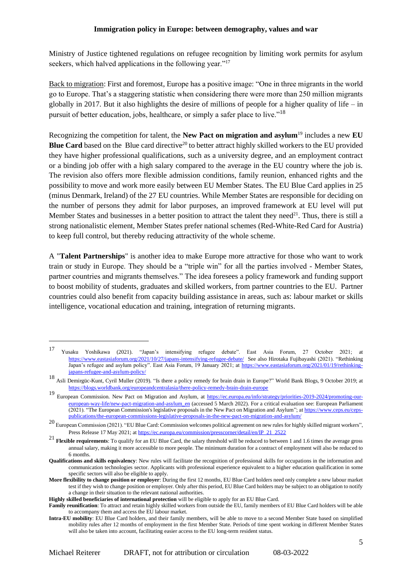Ministry of Justice tightened regulations on refugee recognition by limiting work permits for asylum seekers, which halved applications in the following year."<sup>17</sup>

Back to migration: First and foremost, Europe has a positive image: "One in three migrants in the world go to Europe. That's a staggering statistic when considering there were more than 250 million migrants globally in 2017. But it also highlights the desire of millions of people for a higher quality of life – in pursuit of better education, jobs, healthcare, or simply a safer place to live."<sup>18</sup>

Recognizing the competition for talent, the **New Pact on migration and asylum**<sup>19</sup> includes a new **EU Blue Card** based on the [Blue card directive](https://ec.europa.eu/commission/presscorner/detail/en/IP_21_2522)<sup>20</sup> to better attract highly skilled workers to the EU provided they have higher professional qualifications, such as a university degree, and an employment contract or a binding job offer with a high salary compared to the average in the EU country where the job is. The revision also offers more flexible admission conditions, family reunion, enhanced rights and the possibility to move and work more easily between EU Member States. The EU Blue Card applies in 25 (minus Denmark, Ireland) of the 27 EU countries. While Member States are responsible for deciding on the number of persons they admit for labor purposes, an improved framework at EU level will put Member States and businesses in a better position to attract the talent they need<sup>21</sup>. Thus, there is still a strong nationalistic element, Member States prefer national schemes (Red-White-Red Card for Austria) to keep full control, but thereby reducing attractivity of the whole scheme.

A "**Talent Partnerships**" is another idea to make Europe more attractive for those who want to work train or study in Europe. They should be a "triple win" for all the parties involved - Member States, partner countries and migrants themselves." The idea foresees a policy framework and funding support to boost mobility of students, graduates and skilled workers, from partner countries to the EU. Partner countries could also benefit from capacity building assistance in areas, such as: labour market or skills intelligence, vocational education and training, integration of returning migrants.

<sup>17</sup> Yusaku Yoshikawa (2021). "Japan's intensifying refugee debate". East Asia Forum, 27 October 2021; at <https://www.eastasiaforum.org/2021/10/27/japans-intensifying-refugee-debate/>See also Hirotaka Fujibayashi (2021). "Rethinking Japan's refugee and asylum policy". East Asia Forum, 19 January 2021; at [https://www.eastasiaforum.org/2021/01/19/rethinking](https://www.eastasiaforum.org/2021/01/19/rethinking-japans-refugee-and-asylum-policy/)[japans-refugee-and-asylum-policy/](https://www.eastasiaforum.org/2021/01/19/rethinking-japans-refugee-and-asylum-policy/)

<sup>18</sup> Asli Demirgüc-Kunt, Cyril Muller (2019). "Is there a policy remedy for brain drain in Europe?" World Bank Blogs, 9 October 2019; at <https://blogs.worldbank.org/europeandcentralasia/there-policy-remedy-brain-drain-europe>

<sup>&</sup>lt;sup>19</sup> European Commission. New Pact on Migration and Asylum, at [https://ec.europa.eu/info/strategy/priorities-2019-2024/promoting-our](https://ec.europa.eu/info/strategy/priorities-2019-2024/promoting-our-european-way-life/new-pact-migration-and-asylum_en)[european-way-life/new-pact-migration-and-asylum\\_en](https://ec.europa.eu/info/strategy/priorities-2019-2024/promoting-our-european-way-life/new-pact-migration-and-asylum_en) (accessed 5 March 2022). For a critical evaluation see: European Parliament (2021). "The European Commission's legislative proposals in the New Pact on Migration and Asylum"; a[t https://www.ceps.eu/ceps](https://www.ceps.eu/ceps-publications/the-european-commissions-legislative-proposals-in-the-new-pact-on-migration-and-asylum/)[publications/the-european-commissions-legislative-proposals-in-the-new-pact-on-migration-and-asylum/](https://www.ceps.eu/ceps-publications/the-european-commissions-legislative-proposals-in-the-new-pact-on-migration-and-asylum/)

<sup>&</sup>lt;sup>20</sup> European Commission (2021). "EU Blue Card: Commission welcomes political agreement on new rules for highly skilled migrant workers", Press Release 17 May 2021; a[t https://ec.europa.eu/commission/presscorner/detail/en/IP\\_21\\_2522](https://ec.europa.eu/commission/presscorner/detail/en/IP_21_2522)

<sup>21</sup> **Flexible requirements**: To qualify for an EU Blue Card, the salary threshold will be reduced to between 1 and 1.6 times the average gross annual salary, making it more accessible to more people. The minimum duration for a contract of employment will also be reduced to 6 months.

**Qualifications and skills equivalency**: New rules will facilitate the recognition of professional skills for occupations in the information and communication technologies sector. Applicants with professional experience equivalent to a higher education qualification in some specific sectors will also be eligible to apply.

**More flexibility to change position or employer**: During the first 12 months, EU Blue Card holders need only complete a new labour market test if they wish to change position or employer. Only after this period, EU Blue Card holders may be subject to an obligation to notify a change in their situation to the relevant national authorities.

**Highly skilled beneficiaries of international protection** will be eligible to apply for an EU Blue Card.

**Family reunification**: To attract and retain highly skilled workers from outside the EU, family members of EU Blue Card holders will be able to accompany them and access the EU labour market.

**Intra-EU mobility**: EU Blue Card holders, and their family members, will be able to move to a second Member State based on simplified mobility rules after 12 months of employment in the first Member State. Periods of time spent working in different Member States will also be taken into account, facilitating easier access to the EU long-term resident status.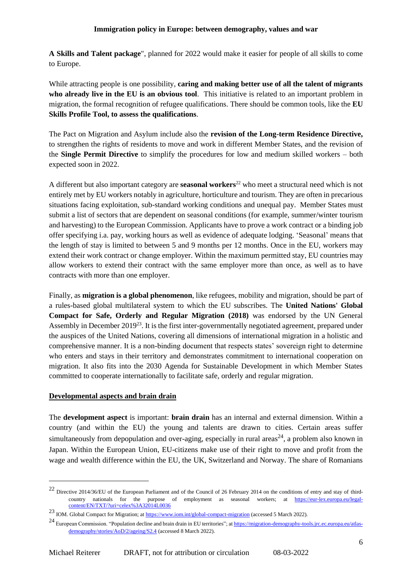**A Skills and Talent package**", planned for 2022 would make it easier for people of all skills to come to Europe.

While attracting people is one possibility, **caring and making better use of all the talent of migrants who already live in the EU is an obvious tool**. This initiative is related to an important problem in migration, the formal recognition of refugee qualifications. There should be common tools, like the **EU Skills Profile Tool, to assess the qualifications**.

The Pact on Migration and Asylum include also the **revision of the Long-term Residence Directive,**  to strengthen the rights of residents to move and work in different Member States, and the revision of the **Single Permit Directive** to simplify the procedures for low and medium skilled workers – both expected soon in 2022.

A different but also important category are **seasonal workers**<sup>22</sup> who meet a structural need which is not entirely met by EU workers notably in agriculture, horticulture and tourism. They are often in precarious situations facing exploitation, sub-standard working conditions and unequal pay. Member States must submit a list of sectors that are dependent on seasonal conditions (for example, summer/winter tourism and harvesting) to the European Commission. Applicants have to prove a work contract or a binding job offer specifying i.a. pay, working hours as well as evidence of adequate lodging. 'Seasonal' means that the length of stay is limited to between 5 and 9 months per 12 months. Once in the EU, workers may extend their work contract or change employer. Within the maximum permitted stay, EU countries may allow workers to extend their contract with the same employer more than once, as well as to have contracts with more than one employer.

Finally, as **migration is a global phenomenon**, like refugees, mobility and migration, should be part of a rules-based global multilateral system to which the EU subscribes. The **United Nations' Global Compact for Safe, Orderly and Regular Migration (2018)** was endorsed by the UN General Assembly in December 2019<sup>23</sup>. It is the first inter-governmentally negotiated agreement, prepared under the auspices of the United Nations, covering all dimensions of international migration in a holistic and comprehensive manner. It is a non-binding document that respects states' sovereign right to determine who enters and stays in their territory and demonstrates commitment to international cooperation on migration. It also fits into the 2030 Agenda for Sustainable Development in which Member States committed to cooperate internationally to facilitate safe, orderly and regular migration.

# **Developmental aspects and brain drain**

The **development aspect** is important: **brain drain** has an internal and external dimension. Within a country (and within the EU) the young and talents are drawn to cities. Certain areas suffer simultaneously from depopulation and over-aging, especially in rural areas<sup>24</sup>, a problem also known in Japan. Within the European Union, EU-citizens make use of their right to move and profit from the wage and wealth difference within the EU, the UK, Switzerland and Norway. The share of Romanians

<sup>22</sup> Directive 2014/36/EU of the European Parliament and of the Council of 26 February 2014 on the conditions of entry and stay of thirdcountry nationals for the purpose of employment as seasonal workers; at [https://eur-lex.europa.eu/legal](https://eur-lex.europa.eu/legal-content/EN/TXT/?uri=celex%3A32014L0036)[content/EN/TXT/?uri=celex%3A32014L0036](https://eur-lex.europa.eu/legal-content/EN/TXT/?uri=celex%3A32014L0036)

<sup>23</sup> IOM. Global Compact for Migration; a[t https://www.iom.int/global-compact-migration](https://www.iom.int/global-compact-migration) (accessed 5 March 2022).

<sup>&</sup>lt;sup>24</sup> European Commission. "Population decline and brain drain in EU territories"; a[t https://migration-demography-tools.jrc.ec.europa.eu/atlas](https://migration-demography-tools.jrc.ec.europa.eu/atlas-demography/stories/AoD/2/ageing/S2.4)[demography/stories/AoD/2/ageing/S2.4](https://migration-demography-tools.jrc.ec.europa.eu/atlas-demography/stories/AoD/2/ageing/S2.4) (accessed 8 March 2022).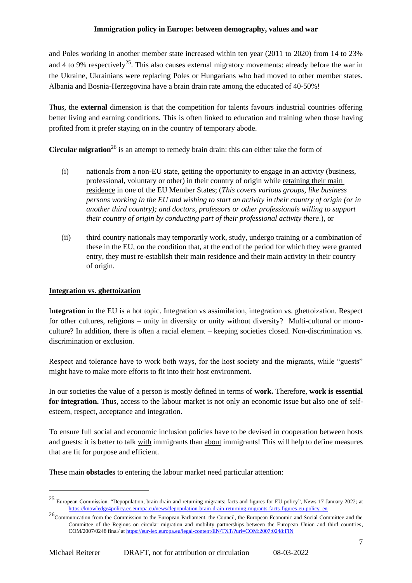and Poles working in another member state increased within ten year (2011 to 2020) from 14 to 23% and 4 to 9% respectively<sup>25</sup>. This also causes external migratory movements: already before the war in the Ukraine, Ukrainians were replacing Poles or Hungarians who had moved to other member states. Albania and Bosnia-Herzegovina have a brain drain rate among the educated of 40-50%!

Thus, the **external** dimension is that the competition for talents favours industrial countries offering better living and earning conditions. This is often linked to education and training when those having profited from it prefer staying on in the country of temporary abode.

**Circular migration**<sup>26</sup> is an attempt to remedy brain drain: this can either take the form of

- (i) nationals from a non-EU state, getting the opportunity to engage in an activity (business, professional, voluntary or other) in their country of origin while retaining their main residence in one of the EU Member States; (*This covers various groups, like business persons working in the EU and wishing to start an activity in their country of origin (or in another third country); and doctors, professors or other professionals willing to support their country of origin by conducting part of their professional activity there*.), or
- (ii) third country nationals may temporarily work, study, undergo training or a combination of these in the EU, on the condition that, at the end of the period for which they were granted entry, they must re-establish their main residence and their main activity in their country of origin.

#### **Integration vs. ghettoization**

I**ntegration** in the EU is a hot topic. Integration vs assimilation, integration vs. ghettoization. Respect for other cultures, religions – unity in diversity or unity without diversity? Multi-cultural or monoculture? In addition, there is often a racial element – keeping societies closed. Non-discrimination vs. discrimination or exclusion.

Respect and tolerance have to work both ways, for the host society and the migrants, while "guests" might have to make more efforts to fit into their host environment.

In our societies the value of a person is mostly defined in terms of **work.** Therefore, **work is essential**  for integration. Thus, access to the labour market is not only an economic issue but also one of selfesteem, respect, acceptance and integration.

To ensure full social and economic inclusion policies have to be devised in cooperation between hosts and guests: it is better to talk with immigrants than about immigrants! This will help to define measures that are fit for purpose and efficient.

These main **obstacles** to entering the labour market need particular attention:

<sup>25</sup> European Commission. "Depopulation, brain drain and returning migrants: facts and figures for EU policy", News 17 January 2022; at [https://knowledge4policy.ec.europa.eu/news/depopulation-brain-drain-returning-migrants-facts-figures-eu-policy\\_en](https://knowledge4policy.ec.europa.eu/news/depopulation-brain-drain-returning-migrants-facts-figures-eu-policy_en)

<sup>&</sup>lt;sup>26</sup>Communication from the Commission to the European Parliament, the Council, the European Economic and Social Committee and the Committee of the Regions on circular migration and mobility partnerships between the European Union and third countries, COM/2007/0248 final/ a[t https://eur-lex.europa.eu/legal-content/EN/TXT/?uri=COM:2007:0248:FIN](https://eur-lex.europa.eu/legal-content/EN/TXT/?uri=COM:2007:0248:FIN)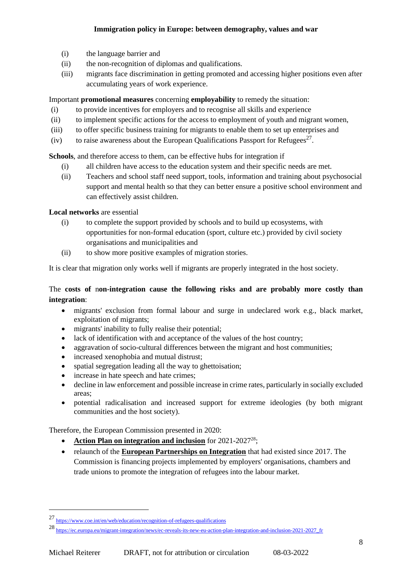- (i) the language barrier and
- (ii) the non-recognition of diplomas and qualifications.
- (iii) migrants face discrimination in getting promoted and accessing higher positions even after accumulating years of work experience.

Important **promotional measures** concerning **employability** to remedy the situation:

- (i) to provide incentives for employers and to recognise all skills and experience
- (ii) to implement specific actions for the access to employment of youth and migrant women,
- (iii) to offer specific business training for migrants to enable them to set up enterprises and
- (iv) to raise awareness about the European Qualifications Passport for Refugees<sup>27</sup>.

**Schools**, and therefore access to them, can be effective hubs for integration if

- (i) all children have access to the education system and their specific needs are met.
- (ii) Teachers and school staff need support, tools, information and training about psychosocial support and mental health so that they can better ensure a positive school environment and can effectively assist children.

**Local networks** are essential

- (i) to complete the support provided by schools and to build up ecosystems, with opportunities for non-formal education (sport, culture etc.) provided by civil society organisations and municipalities and
- (ii) to show more positive examples of migration stories.

It is clear that migration only works well if migrants are properly integrated in the host society.

# The **costs of** n**on-integration cause the following risks and are probably more costly than integration**:

- migrants' exclusion from formal labour and surge in undeclared work e.g., black market, exploitation of migrants;
- migrants' inability to fully realise their potential;
- lack of identification with and acceptance of the values of the host country:
- aggravation of socio-cultural differences between the migrant and host communities;
- increased xenophobia and mutual distrust;
- spatial segregation leading all the way to ghettoisation;
- increase in hate speech and hate crimes;
- decline in law enforcement and possible increase in crime rates, particularly in socially excluded areas;
- potential radicalisation and increased support for extreme ideologies (by both migrant communities and the host society).

Therefore, the European Commission presented in 2020:

- **[Action Plan on integration and inclusion](https://ec.europa.eu/home-affairs/sites/homeaffairs/files/pdf/action_plan_on_integration_and_inclusion_2021-2027.pdf)** for 2021-2027<sup>28</sup>;
- relaunch of the **[European Partnerships on Integration](https://ec.europa.eu/social/main.jsp?langId=en&catId=89&furtherNews=yes&newsId=9772)** that had existed since 2017. The Commission is financing projects implemented by employers' organisations, chambers and trade unions to promote the integration of refugees into the labour market.

<sup>27</sup> <https://www.coe.int/en/web/education/recognition-of-refugees-qualifications>

<sup>28</sup> [https://ec.europa.eu/migrant-integration/news/ec-reveals-its-new-eu-action-plan-integration-and-inclusion-2021-2027\\_fr](https://ec.europa.eu/migrant-integration/news/ec-reveals-its-new-eu-action-plan-integration-and-inclusion-2021-2027_fr)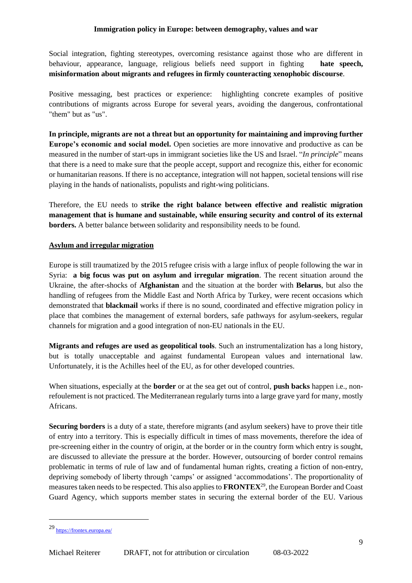Social integration, fighting stereotypes, overcoming resistance against those who are different in behaviour, appearance, language, religious beliefs need support in fighting **hate speech, misinformation about migrants and refugees in firmly counteracting xenophobic discourse**.

Positive messaging, best practices or experience: highlighting concrete examples of positive contributions of migrants across Europe for several years, avoiding the dangerous, confrontational "them" but as "us".

**In principle, migrants are not a threat but an opportunity for maintaining and improving further Europe's economic and social model.** Open societies are more innovative and productive as can be measured in the number of start-ups in immigrant societies like the US and Israel. "*In principle*" means that there is a need to make sure that the people accept, support and recognize this, either for economic or humanitarian reasons. If there is no acceptance, integration will not happen, societal tensions will rise playing in the hands of nationalists, populists and right-wing politicians.

Therefore, the EU needs to **strike the right balance between effective and realistic migration management that is humane and sustainable, while ensuring security and control of its external borders.** A better balance between solidarity and responsibility needs to be found.

#### **Asylum and irregular migration**

Europe is still traumatized by the 2015 refugee crisis with a large influx of people following the war in Syria: **a big focus was put on asylum and irregular migration**. The recent situation around the Ukraine, the after-shocks of **Afghanistan** and the situation at the border with **Belarus**, but also the handling of refugees from the Middle East and North Africa by Turkey, were recent occasions which demonstrated that **blackmail** works if there is no sound, coordinated and effective migration policy in place that combines the management of external borders, safe pathways for asylum-seekers, regular channels for migration and a good integration of non-EU nationals in the EU.

**Migrants and refuges are used as geopolitical tools**. Such an instrumentalization has a long history, but is totally unacceptable and against fundamental European values and international law. Unfortunately, it is the Achilles heel of the EU, as for other developed countries.

When situations, especially at the **border** or at the sea get out of control, **push backs** happen i.e., nonrefoulement is not practiced. The Mediterranean regularly turns into a large grave yard for many, mostly Africans.

**Securing borders** is a duty of a state, therefore migrants (and asylum seekers) have to prove their title of entry into a territory. This is especially difficult in times of mass movements, therefore the idea of pre-screening either in the country of origin, at the border or in the country form which entry is sought, are discussed to alleviate the pressure at the border. However, outsourcing of border control remains problematic in terms of rule of law and of fundamental human rights, creating a fiction of non-entry, depriving somebody of liberty through 'camps' or assigned 'accommodations'. The proportionality of measures taken needs to be respected. This also applies to **FRONTEX**<sup>29</sup>, the European Border and Coast Guard Agency, which supports member states in securing the external border of the EU. Various

<sup>29</sup> <https://frontex.europa.eu/>